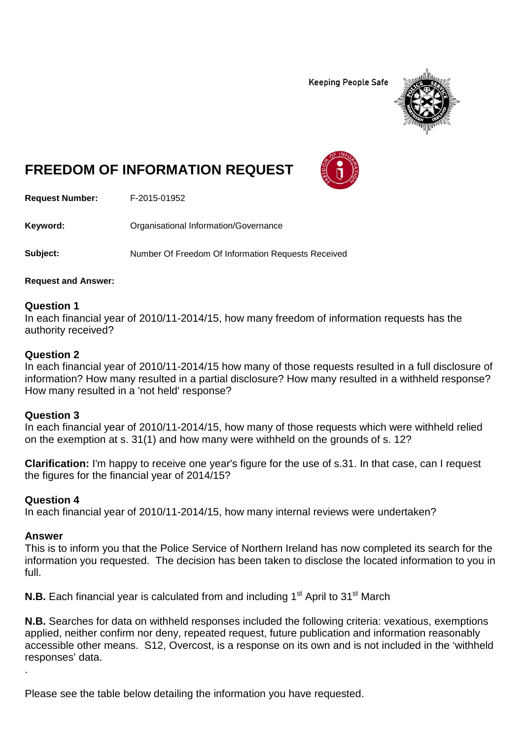**Keeping People Safe** 



# **FREEDOM OF INFORMATION REQUEST**

**Request Number:** F-2015-01952

Keyword: **Calcular Communists** Organisational Information/Governance

**Subject:** Number Of Freedom Of Information Requests Received

**Request and Answer:**

## **Question 1**

In each financial year of 2010/11-2014/15, how many freedom of information requests has the authority received?

## **Question 2**

In each financial year of 2010/11-2014/15 how many of those requests resulted in a full disclosure of information? How many resulted in a partial disclosure? How many resulted in a withheld response? How many resulted in a 'not held' response?

## **Question 3**

In each financial year of 2010/11-2014/15, how many of those requests which were withheld relied on the exemption at s. 31(1) and how many were withheld on the grounds of s. 12?

**Clarification:** I'm happy to receive one year's figure for the use of s.31. In that case, can I request the figures for the financial year of 2014/15?

## **Question 4**

In each financial year of 2010/11-2014/15, how many internal reviews were undertaken?

## **Answer**

.

This is to inform you that the Police Service of Northern Ireland has now completed its search for the information you requested. The decision has been taken to disclose the located information to you in full.

**N.B.** Each financial year is calculated from and including 1<sup>st</sup> April to 31<sup>st</sup> March

**N.B.** Searches for data on withheld responses included the following criteria: vexatious, exemptions applied, neither confirm nor deny, repeated request, future publication and information reasonably accessible other means. S12, Overcost, is a response on its own and is not included in the 'withheld responses' data.

Please see the table below detailing the information you have requested.